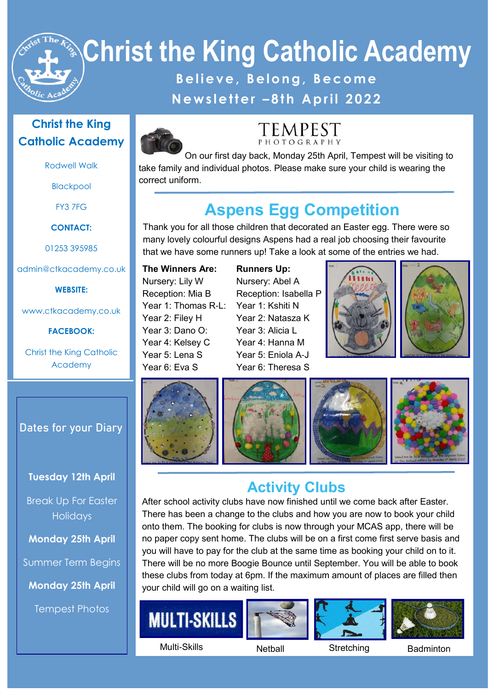# **Christ the King Catholic Academy**

# **B e l i e v e , B e l o n g , B e c o m e**

#### **N e w s l e t t e r – 8 t h Ap r i l 2 02 2**

#### **Christ the King Catholic Academy**

Rodwell Walk

Blackpool

FY3 7FG

**CONTACT:**

01253 395985

admin@ctkacademy.co.uk

**WEBSITE:**

www.ctkacademy.co.uk

**FACEBOOK:**

Christ the King Catholic Academy

#### **Dates for your Diary**

#### **Tuesday 12th April**

Break Up For Easter Holidays

**Monday 25th April**

Summer Term Begins

**Monday 25th April**

Tempest Photos



TEMPEST

On our first day back, Monday 25th April, Tempest will be visiting to take family and individual photos. Please make sure your child is wearing the correct uniform.

## **Aspens Egg Competition**

Thank you for all those children that decorated an Easter egg. There were so many lovely colourful designs Aspens had a real job choosing their favourite that we have some runners up! Take a look at some of the entries we had.

**The Winners Are:** Nursery: Lily W Reception: Mia B Year 1: Thomas R-L: Year 2: Filey H Year 3: Dano O: Year 4: Kelsey C Year 5: Lena S Year 6: Eva S

**Runners Up:** Nursery: Abel A Reception: Isabella P Year 1: Kshiti N Year 2: Natasza K Year 3: Alicia L Year 4: Hanna M Year 5: Eniola A-J Year 6: Theresa S













#### **Activity Clubs**

After school activity clubs have now finished until we come back after Easter. There has been a change to the clubs and how you are now to book your child onto them. The booking for clubs is now through your MCAS app, there will be no paper copy sent home. The clubs will be on a first come first serve basis and you will have to pay for the club at the same time as booking your child on to it. There will be no more Boogie Bounce until September. You will be able to book these clubs from today at 6pm. If the maximum amount of places are filled then your child will go on a waiting list.

# **MULTI-SKILLS**







Multi-Skills Netball Stretching Badminton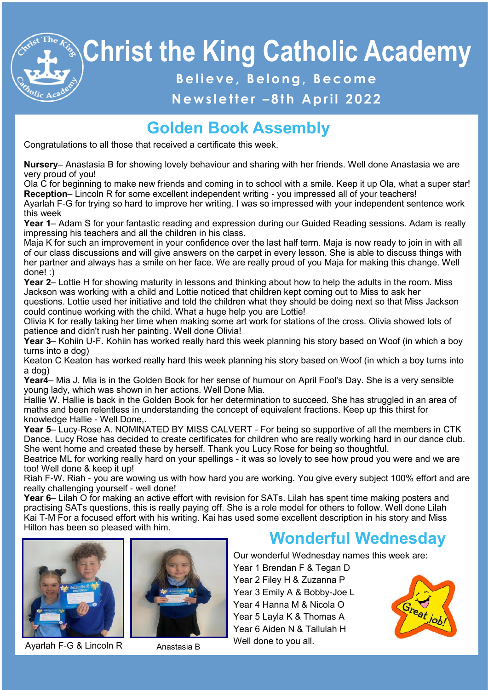# **Christ the King Catholic Academy B e l i e v e , B e l o n g , B e c o m e**

#### **N e w s l e t t e r – 8 t h Ap r i l 2 02 2**

## **Golden Book Assembly**

Congratulations to all those that received a certificate this week.

**Nursery**– Anastasia B for showing lovely behaviour and sharing with her friends. Well done Anastasia we are very proud of you!

Ola C for beginning to make new friends and coming in to school with a smile. Keep it up Ola, what a super star! **Reception**– Lincoln R for some excellent independent writing - you impressed all of your teachers!

Ayarlah F-G for trying so hard to improve her writing. I was so impressed with your independent sentence work this week

**Year 1**– Adam S for your fantastic reading and expression during our Guided Reading sessions. Adam is really impressing his teachers and all the children in his class.

Maja K for such an improvement in your confidence over the last half term. Maja is now ready to join in with all of our class discussions and will give answers on the carpet in every lesson. She is able to discuss things with her partner and always has a smile on her face. We are really proud of you Maja for making this change. Well done! :)

**Year 2**– Lottie H for showing maturity in lessons and thinking about how to help the adults in the room. Miss Jackson was working with a child and Lottie noticed that children kept coming out to Miss to ask her questions. Lottie used her initiative and told the children what they should be doing next so that Miss Jackson could continue working with the child. What a huge help you are Lottie!

Olivia K for really taking her time when making some art work for stations of the cross. Olivia showed lots of patience and didn't rush her painting. Well done Olivia!

**Year 3**– Kohiin U-F. Kohiin has worked really hard this week planning his story based on Woof (in which a boy turns into a dog)

Keaton C Keaton has worked really hard this week planning his story based on Woof (in which a boy turns into a dog)

**Year4**– Mia J. Mia is in the Golden Book for her sense of humour on April Fool's Day. She is a very sensible young lady, which was shown in her actions. Well Done Mia.

Hallie W. Hallie is back in the Golden Book for her determination to succeed. She has struggled in an area of maths and been relentless in understanding the concept of equivalent fractions. Keep up this thirst for knowledge Hallie - Well Done,.

**Year 5**– Lucy-Rose A. NOMINATED BY MISS CALVERT - For being so supportive of all the members in CTK Dance. Lucy Rose has decided to create certificates for children who are really working hard in our dance club. She went home and created these by herself. Thank you Lucy Rose for being so thoughtful.

Beatrice ML for working really hard on your spellings - it was so lovely to see how proud you were and we are too! Well done & keep it up!

Riah F-W. Riah - you are wowing us with how hard you are working. You give every subject 100% effort and are really challenging yourself - well done!

**Year 6**– Lilah O for making an active effort with revision for SATs. Lilah has spent time making posters and practising SATs questions, this is really paying off. She is a role model for others to follow. Well done Lilah Kai T-M For a focused effort with his writing. Kai has used some excellent description in his story and Miss Hilton has been so pleased with him.





Ayarlah F-G & Lincoln R  $\overline{A}$  Anastasia B Well done to you all.

#### **Wonderful Wednesday**

Our wonderful Wednesday names this week are: Year 1 Brendan F & Tegan D Year 2 Filey H & Zuzanna P Year 3 Emily A & Bobby-Joe L Year 4 Hanna M & Nicola O Year 5 Layla K & Thomas A Year 6 Aiden N & Tallulah H

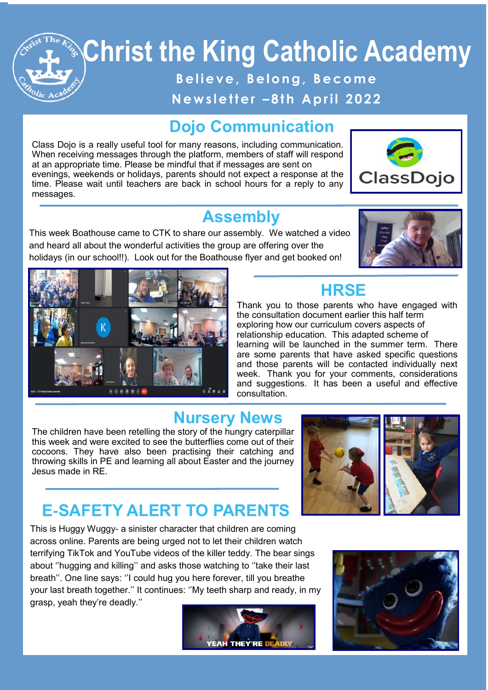

# **Christ the King Catholic Academy**

**B e l i e v e , B e l o n g , B e c o m e**

<u>**Newsletter -8th April 2022**</u>

### **Dojo Communication**

Class Dojo is a really useful tool for many reasons, including communication. When receiving messages through the platform, members of staff will respond at an appropriate time. Please be mindful that if messages are sent on evenings, weekends or holidays, parents should not expect a response at the time. Please wait until teachers are back in school hours for a reply to any messages.

## **Assembly**

This week Boathouse came to CTK to share our assembly. We watched a video and heard all about the wonderful activities the group are offering over the holidays (in our school!!). Look out for the Boathouse flyer and get booked on!







### **HRSE**

**Black below Black below the School Photophology Consultation.** Thank you to those parents who have engaged with the consultation document earlier this half term exploring how our curriculum covers aspects of relationship education. This adapted scheme of learning will be launched in the summer term. There are some parents that have asked specific questions and those parents will be contacted individually next week. Thank you for your comments, considerations and suggestions. It has been a useful and effective consultation.

### **Nursery News**

The children have been retelling the story of the hungry caterpillar this week and were excited to see the butterflies come out of their cocoons. They have also been practising their catching and throwing skills in PE and learning all about Easter and the journey Jesus made in RE.



## **E-SAFETY ALERT TO PARENTS**

This is Huggy Wuggy- a sinister character that children are coming across online. Parents are being urged not to let their children watch terrifying TikTok and YouTube videos of the killer teddy. The bear sings about ''hugging and killing'' and asks those watching to ''take their last breath''. One line says: ''I could hug you here forever, till you breathe your last breath together.'' It continues: ''My teeth sharp and ready, in my grasp, yeah they're deadly.''